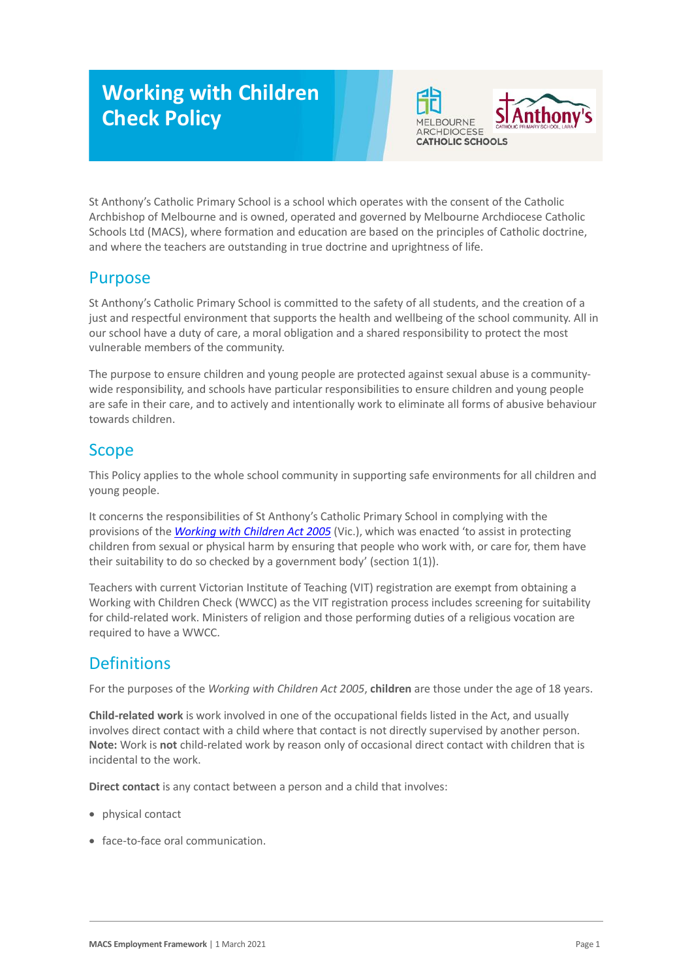# **Working with Children Check Policy**



St Anthony's Catholic Primary School is a school which operates with the consent of the Catholic Archbishop of Melbourne and is owned, operated and governed by Melbourne Archdiocese Catholic Schools Ltd (MACS), where formation and education are based on the principles of Catholic doctrine, and where the teachers are outstanding in true doctrine and uprightness of life.

### Purpose

St Anthony's Catholic Primary School is committed to the safety of all students, and the creation of a just and respectful environment that supports the health and wellbeing of the school community. All in our school have a duty of care, a moral obligation and a shared responsibility to protect the most vulnerable members of the community.

The purpose to ensure children and young people are protected against sexual abuse is a communitywide responsibility, and schools have particular responsibilities to ensure children and young people are safe in their care, and to actively and intentionally work to eliminate all forms of abusive behaviour towards children.

# Scope

This Policy applies to the whole school community in supporting safe environments for all children and young people.

It concerns the responsibilities of St Anthony's Catholic Primary School in complying with the provisions of the *[Working with Children Act 2005](https://www.legislation.vic.gov.au/as-made/acts/working-children-act-2005)* (Vic.), which was enacted 'to assist in protecting children from sexual or physical harm by ensuring that people who work with, or care for, them have their suitability to do so checked by a government body' (section 1(1)).

Teachers with current Victorian Institute of Teaching (VIT) registration are exempt from obtaining a Working with Children Check (WWCC) as the VIT registration process includes screening for suitability for child-related work. Ministers of religion and those performing duties of a religious vocation are required to have a WWCC.

## **Definitions**

For the purposes of the *Working with Children Act 2005*, **children** are those under the age of 18 years.

**Child-related work** is work involved in one of the occupational fields listed in the Act, and usually involves direct contact with a child where that contact is not directly supervised by another person. **Note:** Work is **not** child-related work by reason only of occasional direct contact with children that is incidental to the work.

**Direct contact** is any contact between a person and a child that involves:

- physical contact
- face-to-face oral communication.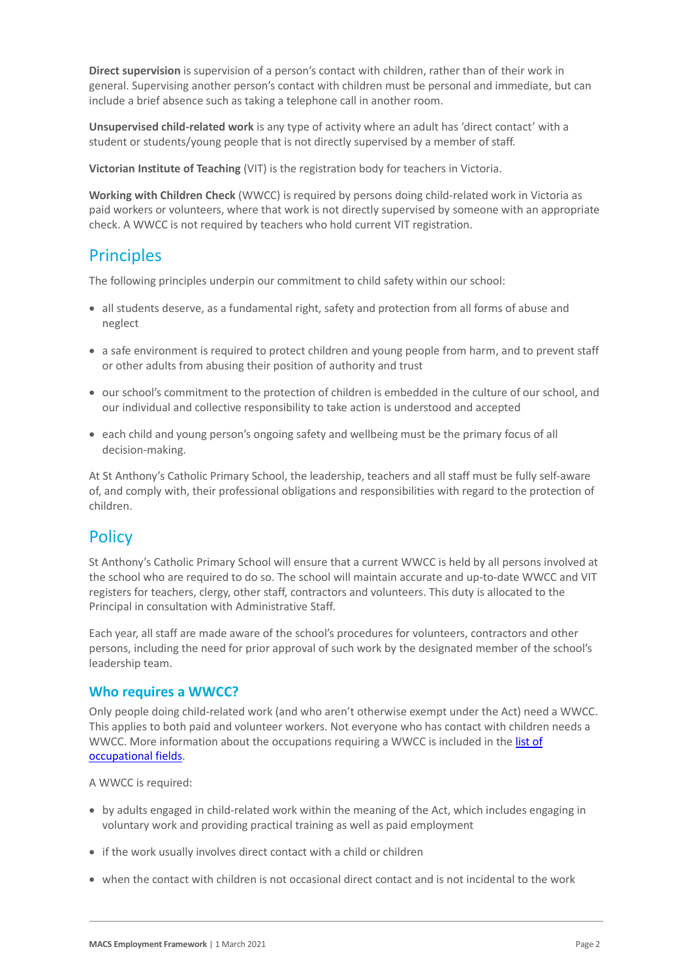**Direct supervision** is supervision of a person's contact with children, rather than of their work in general. Supervising another person's contact with children must be personal and immediate, but can include a brief absence such as taking a telephone call in another room.

**Unsupervised child-related work** is any type of activity where an adult has 'direct contact' with a student or students/young people that is not directly supervised by a member of staff.

**Victorian Institute of Teaching** (VIT) is the registration body for teachers in Victoria.

**Working with Children Check** (WWCC) is required by persons doing child-related work in Victoria as paid workers or volunteers, where that work is not directly supervised by someone with an appropriate check. A WWCC is not required by teachers who hold current VIT registration.

#### **Principles**

The following principles underpin our commitment to child safety within our school:

- all students deserve, as a fundamental right, safety and protection from all forms of abuse and neglect
- a safe environment is required to protect children and young people from harm, and to prevent staff or other adults from abusing their position of authority and trust
- our school's commitment to the protection of children is embedded in the culture of our school, and our individual and collective responsibility to take action is understood and accepted
- each child and young person's ongoing safety and wellbeing must be the primary focus of all decision-making.

At St Anthony's Catholic Primary School, the leadership, teachers and all staff must be fully self-aware of, and comply with, their professional obligations and responsibilities with regard to the protection of children.

#### **Policy**

St Anthony's Catholic Primary School will ensure that a current WWCC is held by all persons involved at the school who are required to do so. The school will maintain accurate and up-to-date WWCC and VIT registers for teachers, clergy, other staff, contractors and volunteers. This duty is allocated to the Principal in consultation with Administrative Staff.

Each year, all staff are made aware of the school's procedures for volunteers, contractors and other persons, including the need for prior approval of such work by the designated member of the school's leadership team.

#### **Who requires a WWCC?**

Only people doing child-related work (and who aren't otherwise exempt under the Act) need a WWCC. This applies to both paid and volunteer workers. Not everyone who has contact with children needs a WWCC. More information about the occupations requiring a WWCC is included in the list of [occupational fields.](https://www.workingwithchildren.vic.gov.au/about-the-check/resources/list-of-occupational-fields)

A WWCC is required:

- by adults engaged in child-related work within the meaning of the Act, which includes engaging in voluntary work and providing practical training as well as paid employment
- if the work usually involves direct contact with a child or children
- when the contact with children is not occasional direct contact and is not incidental to the work